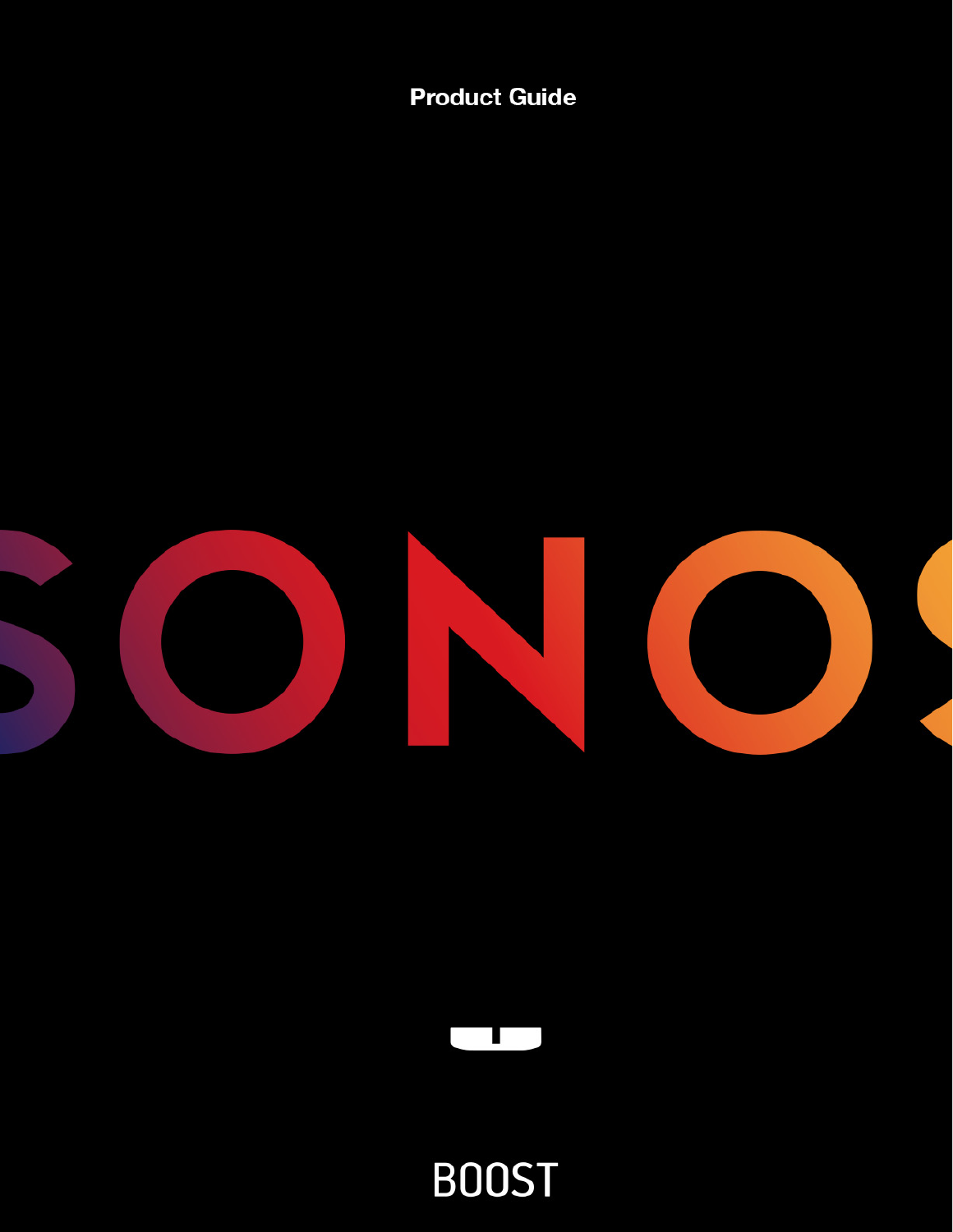**Product Guide** 





**BOOST**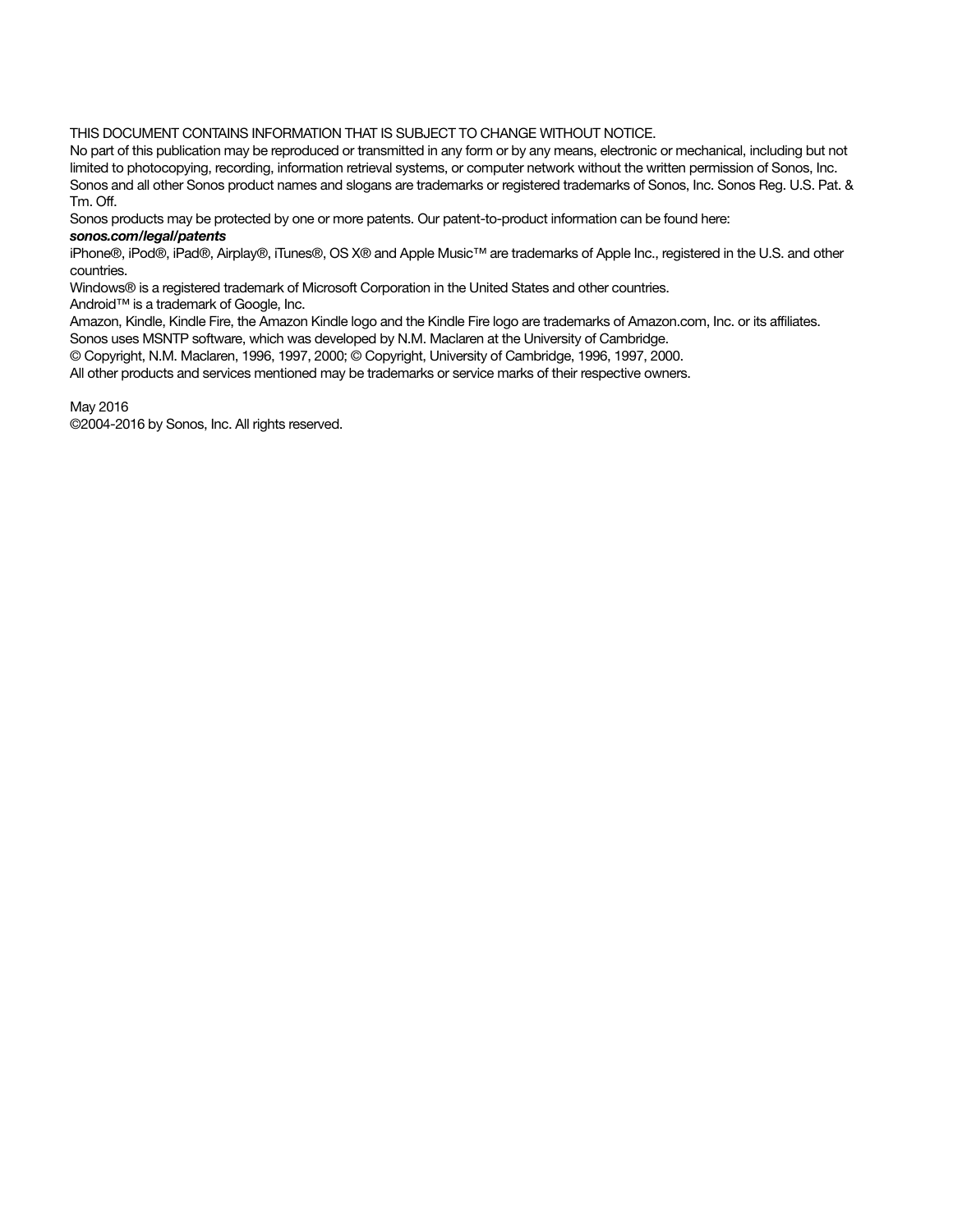THIS DOCUMENT CONTAINS INFORMATION THAT IS SUBJECT TO CHANGE WITHOUT NOTICE.

No part of this publication may be reproduced or transmitted in any form or by any means, electronic or mechanical, including but not limited to photocopying, recording, information retrieval systems, or computer network without the written permission of Sonos, Inc. Sonos and all other Sonos product names and slogans are trademarks or registered trademarks of Sonos, Inc. Sonos Reg. U.S. Pat. & Tm. Off.

Sonos products may be protected by one or more patents. Our patent-to-product information can be found here:

#### sonos.com/legal/patents

iPhone®, iPod®, iPad®, Airplay®, iTunes®, OS X® and Apple Music™ are trademarks of Apple Inc., registered in the U.S. and other countries.

Windows® is a registered trademark of Microsoft Corporation in the United States and other countries.

Android™ is a trademark of Google, Inc.

Amazon, Kindle, Kindle Fire, the Amazon Kindle logo and the Kindle Fire logo are trademarks of Amazon.com, Inc. or its affiliates.

Sonos uses MSNTP software, which was developed by N.M. Maclaren at the University of Cambridge.

© Copyright, N.M. Maclaren, 1996, 1997, 2000; © Copyright, University of Cambridge, 1996, 1997, 2000.

All other products and services mentioned may be trademarks or service marks of their respective owners.

May 2016

©2004-2016 by Sonos, Inc. All rights reserved.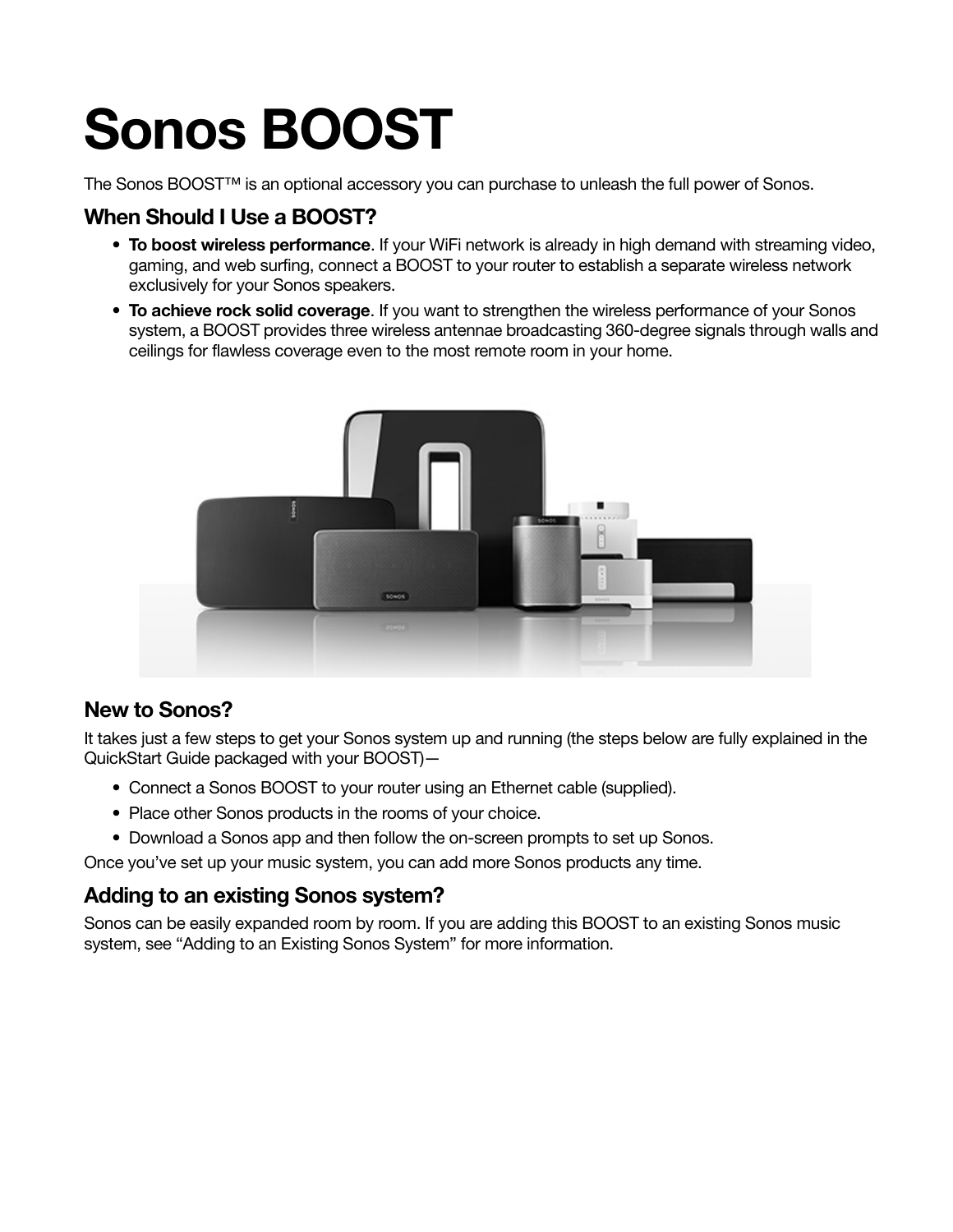# Sonos BOOST

The Sonos BOOST™ is an optional accessory you can purchase to unleash the full power of Sonos.

#### When Should I Use a BOOST?

- To boost wireless performance. If your WiFi network is already in high demand with streaming video, gaming, and web surfing, connect a BOOST to your router to establish a separate wireless network exclusively for your Sonos speakers.
- To achieve rock solid coverage. If you want to strengthen the wireless performance of your Sonos system, a BOOST provides three wireless antennae broadcasting 360-degree signals through walls and ceilings for flawless coverage even to the most remote room in your home.



#### New to Sonos?

It takes just a few steps to get your Sonos system up and running (the steps below are fully explained in the QuickStart Guide packaged with your BOOST)—

- Connect a Sonos BOOST to your router using an Ethernet cable (supplied).
- Place other Sonos products in the rooms of your choice.
- Download a Sonos app and then follow the on-screen prompts to set up Sonos.

Once you've set up your music system, you can add more Sonos products any time.

#### Adding to an existing Sonos system?

Sonos can be easily expanded room by room. If you are adding this BOOST to an existing Sonos music system, see ["Adding to an Existing Sonos System"](#page-4-0) for more information.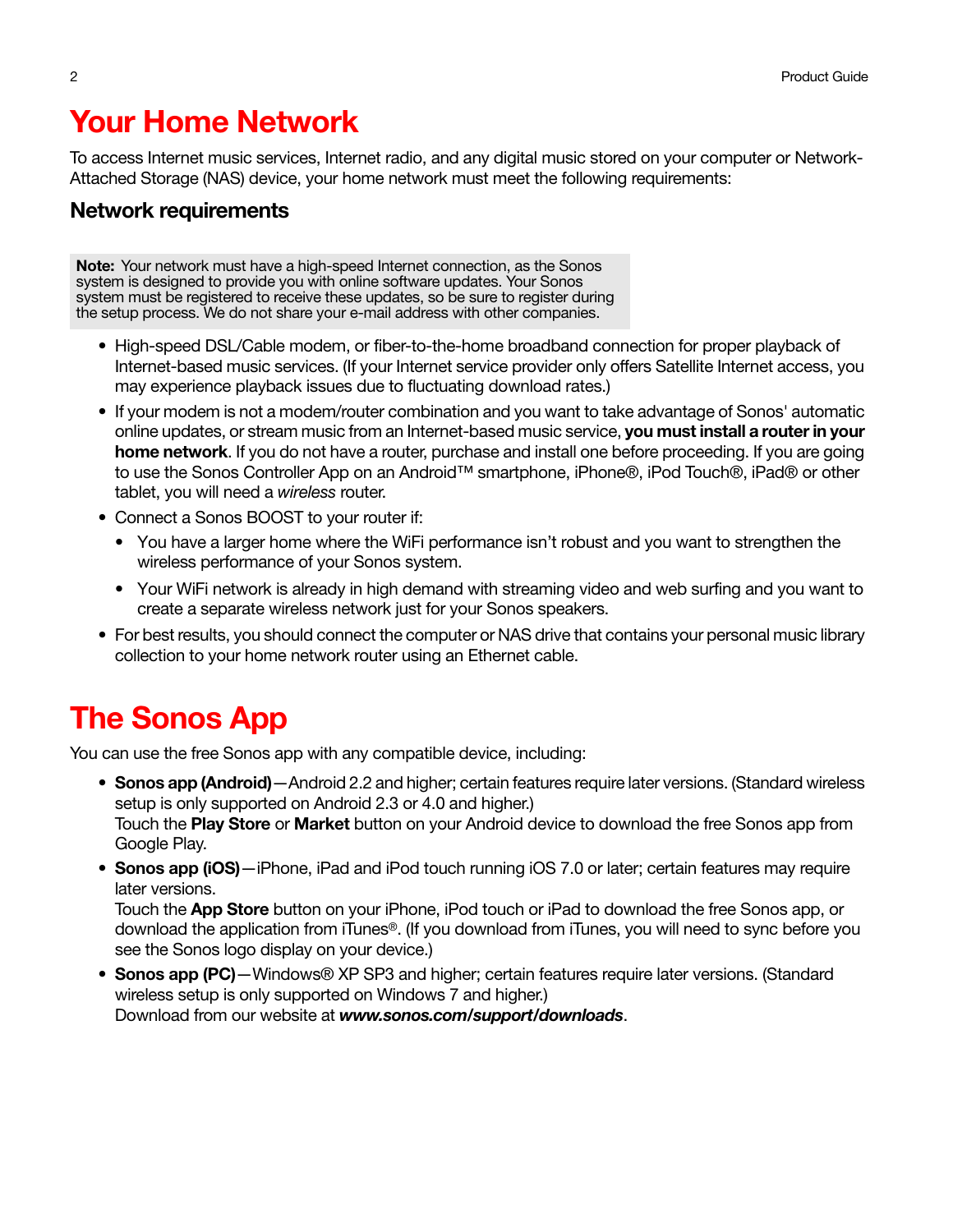# Your Home Network

To access Internet music services, Internet radio, and any digital music stored on your computer or Network-Attached Storage (NAS) device, your home network must meet the following requirements:

#### Network requirements

Note: Your network must have a high-speed Internet connection, as the Sonos system is designed to provide you with online software updates. Your Sonos system must be registered to receive these updates, so be sure to register during the setup process. We do not share your e-mail address with other companies.

- High-speed DSL/Cable modem, or fiber-to-the-home broadband connection for proper playback of Internet-based music services. (If your Internet service provider only offers Satellite Internet access, you may experience playback issues due to fluctuating download rates.)
- If your modem is not a modem/router combination and you want to take advantage of Sonos' automatic online updates, or stream music from an Internet-based music service, you must install a router in your home network. If you do not have a router, purchase and install one before proceeding. If you are going to use the Sonos Controller App on an Android™ smartphone, iPhone®, iPod Touch®, iPad® or other tablet, you will need a wireless router.
- Connect a Sonos BOOST to your router if:
	- You have a larger home where the WiFi performance isn't robust and you want to strengthen the wireless performance of your Sonos system.
	- Your WiFi network is already in high demand with streaming video and web surfing and you want to create a separate wireless network just for your Sonos speakers.
- For best results, you should connect the computer or NAS drive that contains your personal music library collection to your home network router using an Ethernet cable.

# The Sonos App

You can use the free Sonos app with any compatible device, including:

- Sonos app (Android) Android 2.2 and higher; certain features require later versions. (Standard wireless setup is only supported on Android 2.3 or 4.0 and higher.) Touch the Play Store or Market button on your Android device to download the free Sonos app from Google Play.
- Sonos app (iOS)—iPhone, iPad and iPod touch running iOS 7.0 or later; certain features may require later versions.

Touch the App Store button on your iPhone, iPod touch or iPad to download the free Sonos app, or download the application from iTunes®. (If you download from iTunes, you will need to sync before you see the Sonos logo display on your device.)

• Sonos app (PC) - Windows® XP SP3 and higher; certain features require later versions. (Standard [wireless setup is only supported on Windows 7 and higher.\)](http://www.sonos.com/support/downloads)  [Download from our website at](http://www.sonos.com/support/downloads) www.sonos.com/support/downloads.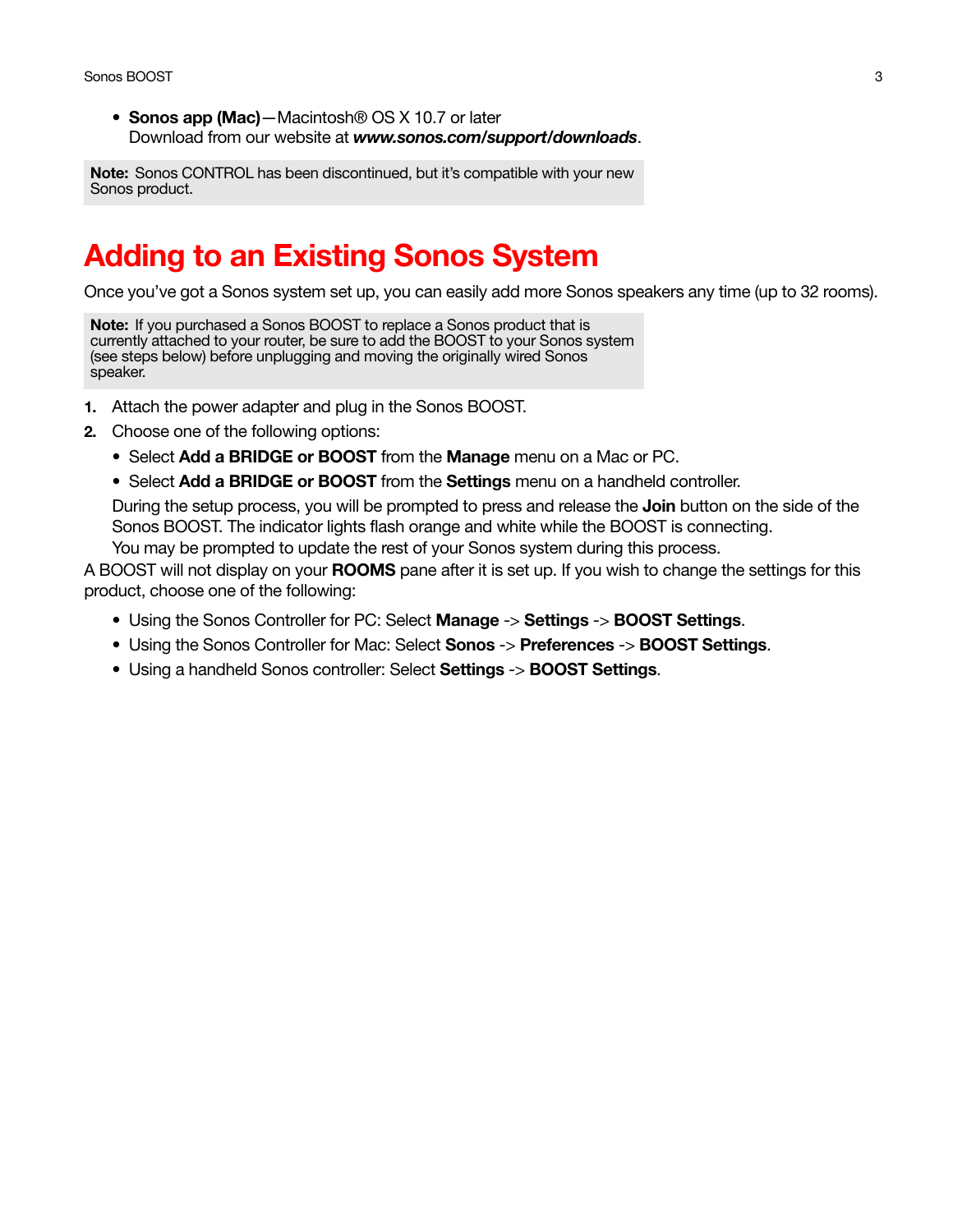• Sonos app (Mac) - Macintosh<sup>®</sup> OS X 10.7 or later [Download from our website at](http://www.sonos.com/support/downloads) www.sonos.com/support/downloads.

Note: Sonos CONTROL has been discontinued, but it's compatible with your new Sonos product.

## <span id="page-4-0"></span>Adding to an Existing Sonos System

Once you've got a Sonos system set up, you can easily add more Sonos speakers any time (up to 32 rooms).

Note: If you purchased a Sonos BOOST to replace a Sonos product that is currently attached to your router, be sure to add the BOOST to your Sonos system (see steps below) before unplugging and moving the originally wired Sonos speaker.

- 1. Attach the power adapter and plug in the Sonos BOOST.
- 2. Choose one of the following options:
	- Select Add a BRIDGE or BOOST from the Manage menu on a Mac or PC.
	- Select Add a BRIDGE or BOOST from the Settings menu on a handheld controller.

During the setup process, you will be prompted to press and release the **Join** button on the side of the Sonos BOOST. The indicator lights flash orange and white while the BOOST is connecting.

You may be prompted to update the rest of your Sonos system during this process.

A BOOST will not display on your **ROOMS** pane after it is set up. If you wish to change the settings for this product, choose one of the following:

- Using the Sonos Controller for PC: Select Manage -> Settings -> BOOST Settings.
- Using the Sonos Controller for Mac: Select **Sonos -> Preferences -> BOOST Settings.**
- Using a handheld Sonos controller: Select Settings -> **BOOST Settings.**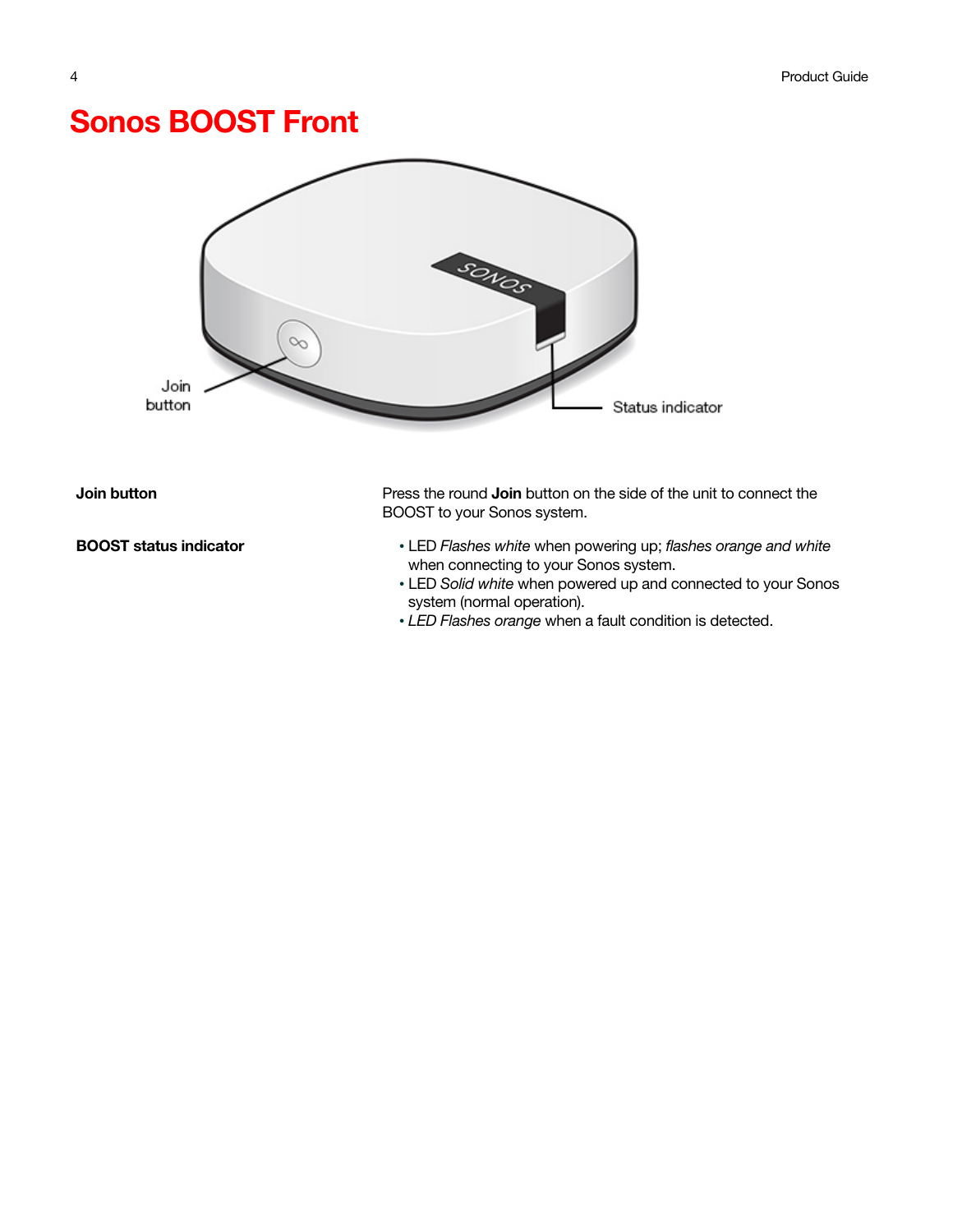## Sonos BOOST Front



BOOST status indicator • LED Flashes white when powering up; flashes orange and white when connecting to your Sonos system.

- LED Solid white when powered up and connected to your Sonos system (normal operation).
- LED Flashes orange when a fault condition is detected.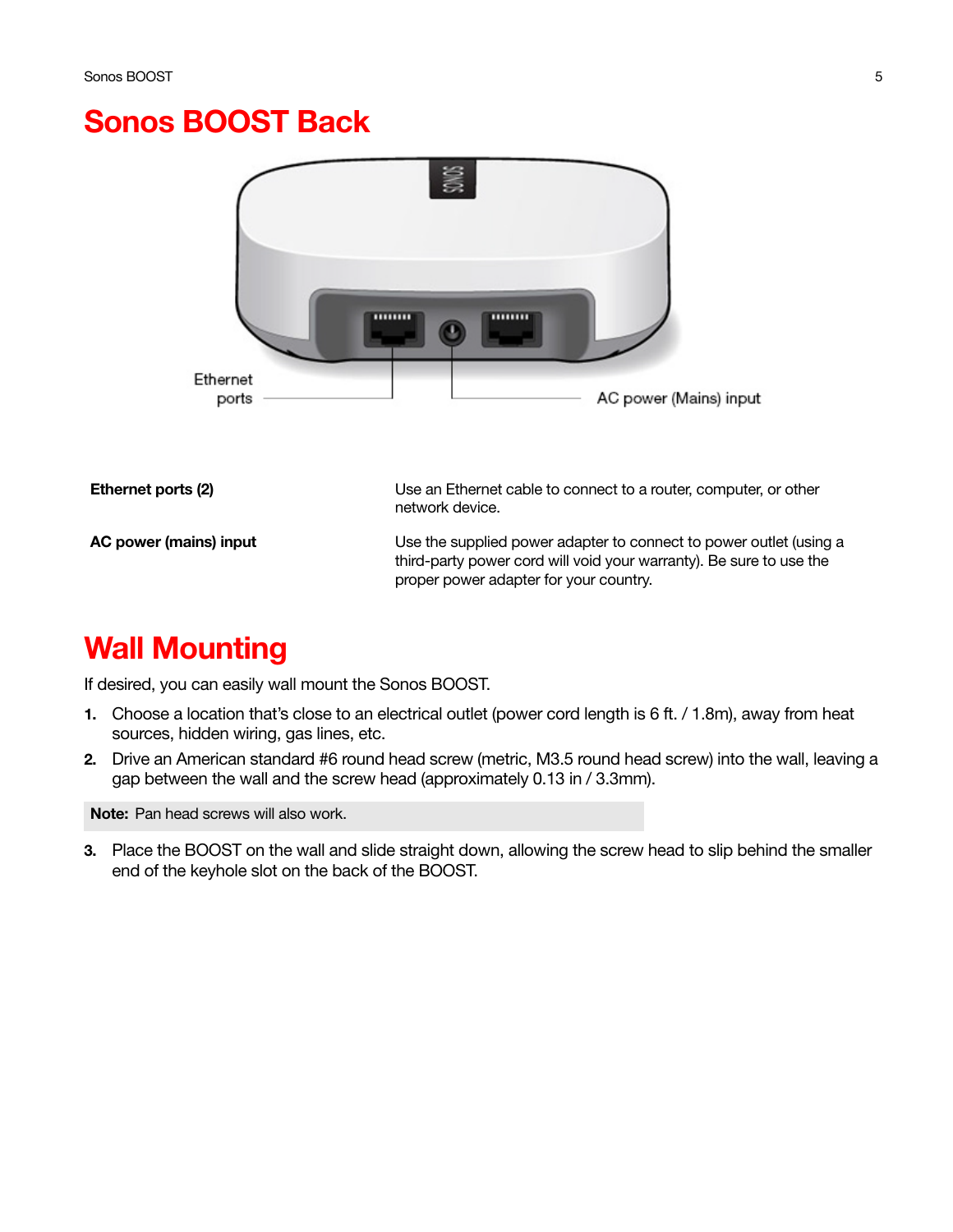#### Sonos BOOST Back



## Wall Mounting

If desired, you can easily wall mount the Sonos BOOST.

- 1. Choose a location that's close to an electrical outlet (power cord length is 6 ft. / 1.8m), away from heat sources, hidden wiring, gas lines, etc.
- 2. Drive an American standard #6 round head screw (metric, M3.5 round head screw) into the wall, leaving a gap between the wall and the screw head (approximately 0.13 in / 3.3mm).

Note: Pan head screws will also work.

3. Place the BOOST on the wall and slide straight down, allowing the screw head to slip behind the smaller end of the keyhole slot on the back of the BOOST.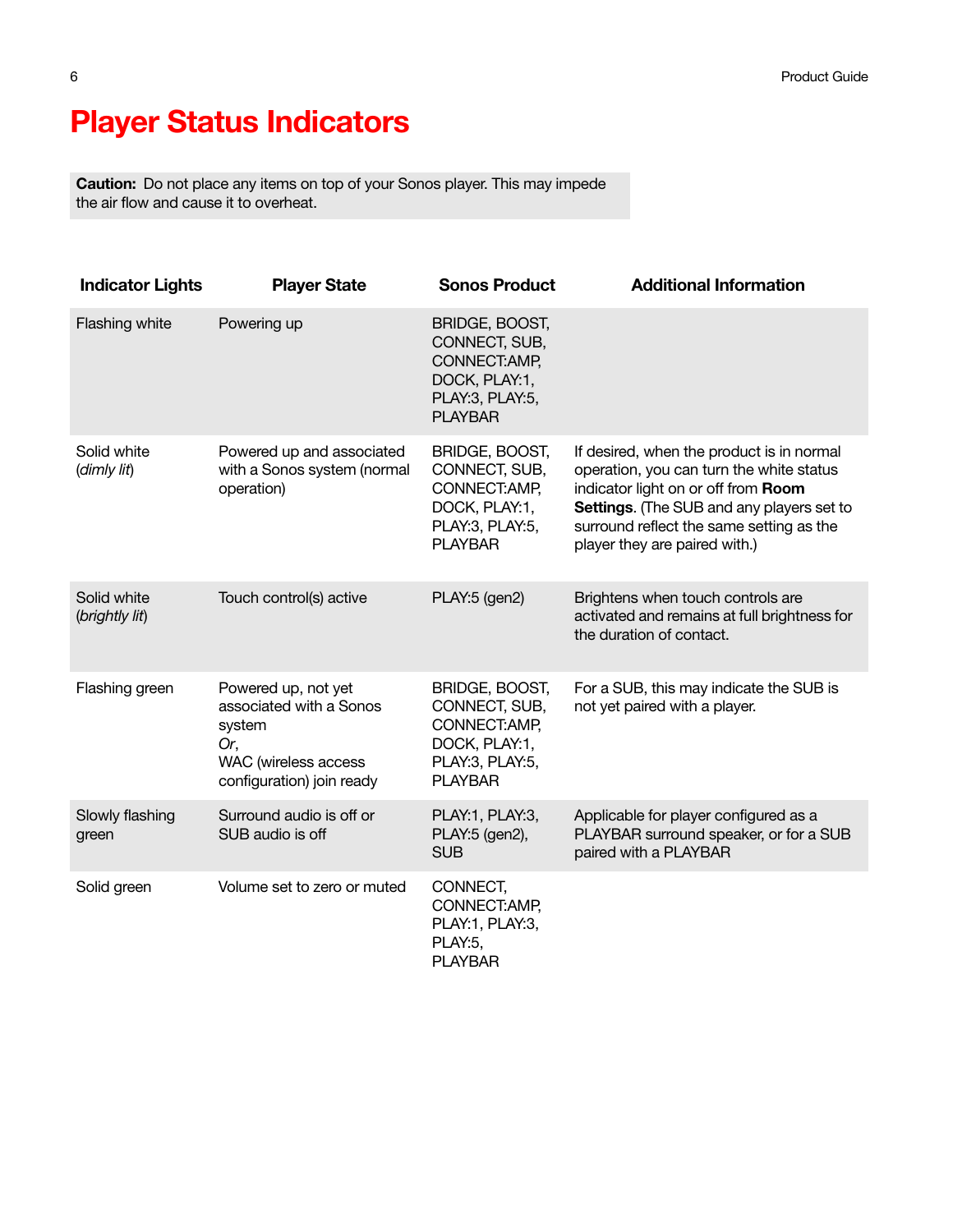# Player Status Indicators

Caution: Do not place any items on top of your Sonos player. This may impede the air flow and cause it to overheat.

| <b>Indicator Lights</b>       | <b>Player State</b>                                                                                                  | <b>Sonos Product</b>                                                                                   | <b>Additional Information</b>                                                                                                                                                                                                                          |
|-------------------------------|----------------------------------------------------------------------------------------------------------------------|--------------------------------------------------------------------------------------------------------|--------------------------------------------------------------------------------------------------------------------------------------------------------------------------------------------------------------------------------------------------------|
| <b>Flashing white</b>         | Powering up                                                                                                          | BRIDGE, BOOST,<br>CONNECT, SUB,<br>CONNECT: AMP,<br>DOCK, PLAY:1,<br>PLAY:3, PLAY:5,<br><b>PLAYBAR</b> |                                                                                                                                                                                                                                                        |
| Solid white<br>(dimly lit)    | Powered up and associated<br>with a Sonos system (normal<br>operation)                                               | BRIDGE, BOOST,<br>CONNECT, SUB,<br>CONNECT: AMP,<br>DOCK, PLAY:1,<br>PLAY:3, PLAY:5,<br><b>PLAYBAR</b> | If desired, when the product is in normal<br>operation, you can turn the white status<br>indicator light on or off from Room<br>Settings. (The SUB and any players set to<br>surround reflect the same setting as the<br>player they are paired with.) |
| Solid white<br>(brightly lit) | Touch control(s) active                                                                                              | PLAY:5 (gen2)                                                                                          | Brightens when touch controls are<br>activated and remains at full brightness for<br>the duration of contact.                                                                                                                                          |
| Flashing green                | Powered up, not yet<br>associated with a Sonos<br>system<br>Or,<br>WAC (wireless access<br>configuration) join ready | BRIDGE, BOOST,<br>CONNECT, SUB,<br>CONNECT: AMP,<br>DOCK, PLAY:1,<br>PLAY:3, PLAY:5,<br><b>PLAYBAR</b> | For a SUB, this may indicate the SUB is<br>not yet paired with a player.                                                                                                                                                                               |
| Slowly flashing<br>green      | Surround audio is off or<br>SUB audio is off                                                                         | PLAY:1, PLAY:3,<br>PLAY:5 (gen2),<br><b>SUB</b>                                                        | Applicable for player configured as a<br>PLAYBAR surround speaker, or for a SUB<br>paired with a PLAYBAR                                                                                                                                               |
| Solid green                   | Volume set to zero or muted                                                                                          | CONNECT,<br>CONNECT:AMP,<br>PLAY:1, PLAY:3,<br>PLAY:5,<br><b>PLAYBAR</b>                               |                                                                                                                                                                                                                                                        |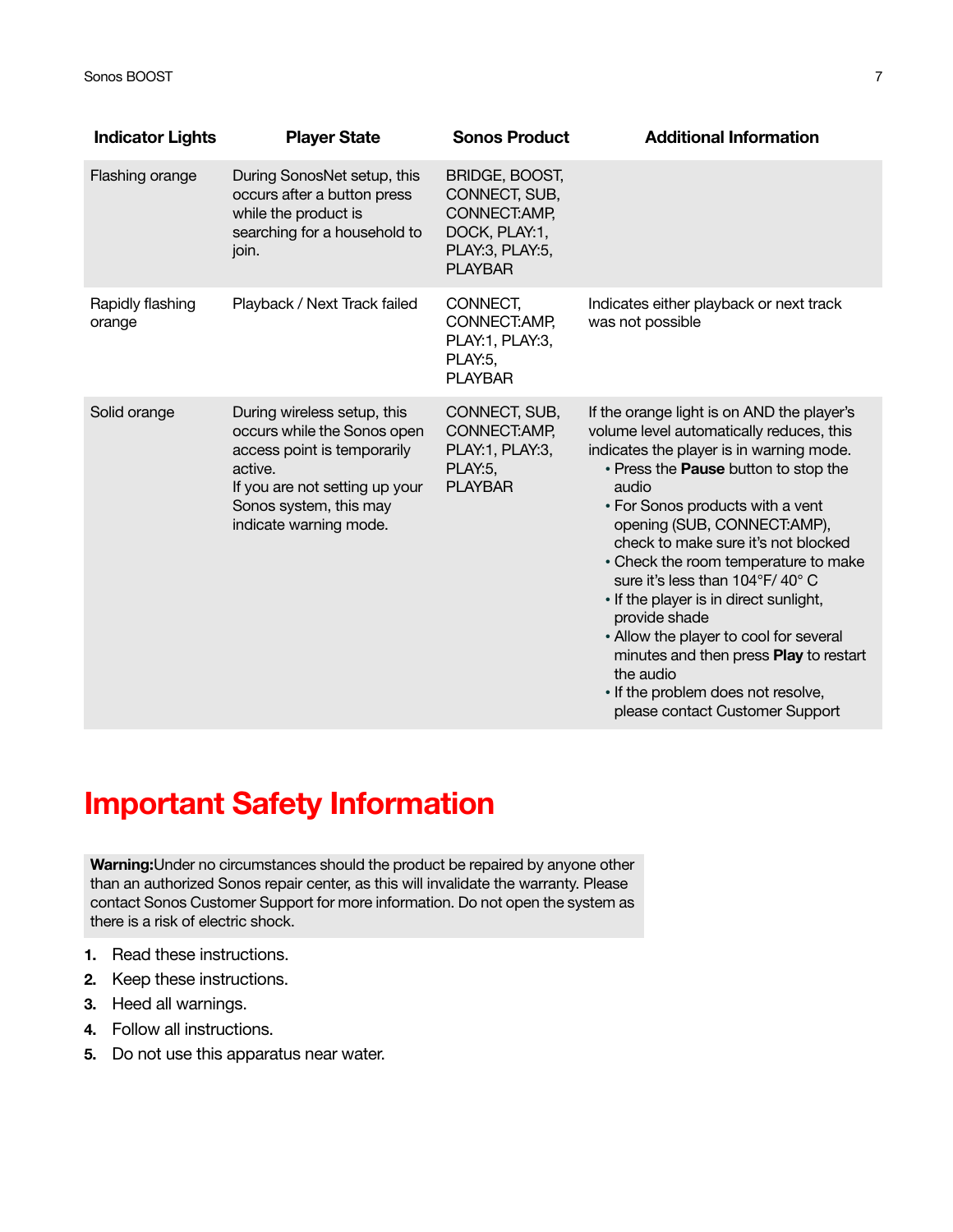| <b>Indicator Lights</b>    | <b>Player State</b>                                                                                                                                                                        | <b>Sonos Product</b>                                                                                   | <b>Additional Information</b>                                                                                                                                                                                                                                                                                                                                                                                                                                                                                                                                                                                |
|----------------------------|--------------------------------------------------------------------------------------------------------------------------------------------------------------------------------------------|--------------------------------------------------------------------------------------------------------|--------------------------------------------------------------------------------------------------------------------------------------------------------------------------------------------------------------------------------------------------------------------------------------------------------------------------------------------------------------------------------------------------------------------------------------------------------------------------------------------------------------------------------------------------------------------------------------------------------------|
| Flashing orange            | During SonosNet setup, this<br>occurs after a button press<br>while the product is<br>searching for a household to<br>join.                                                                | BRIDGE, BOOST,<br>CONNECT, SUB,<br>CONNECT: AMP,<br>DOCK, PLAY:1,<br>PLAY:3, PLAY:5,<br><b>PLAYBAR</b> |                                                                                                                                                                                                                                                                                                                                                                                                                                                                                                                                                                                                              |
| Rapidly flashing<br>orange | Playback / Next Track failed                                                                                                                                                               | CONNECT,<br>CONNECT: AMP,<br>PLAY:1, PLAY:3,<br>PLAY:5,<br><b>PLAYBAR</b>                              | Indicates either playback or next track<br>was not possible                                                                                                                                                                                                                                                                                                                                                                                                                                                                                                                                                  |
| Solid orange               | During wireless setup, this<br>occurs while the Sonos open<br>access point is temporarily<br>active.<br>If you are not setting up your<br>Sonos system, this may<br>indicate warning mode. | CONNECT, SUB,<br>CONNECT: AMP,<br>PLAY:1, PLAY:3,<br>PLAY:5,<br><b>PLAYBAR</b>                         | If the orange light is on AND the player's<br>volume level automatically reduces, this<br>indicates the player is in warning mode.<br>. Press the Pause button to stop the<br>audio<br>• For Sonos products with a vent<br>opening (SUB, CONNECT:AMP),<br>check to make sure it's not blocked<br>• Check the room temperature to make<br>sure it's less than 104°F/40°C<br>• If the player is in direct sunlight,<br>provide shade<br>• Allow the player to cool for several<br>minutes and then press Play to restart<br>the audio<br>• If the problem does not resolve,<br>please contact Customer Support |

# Important Safety Information

Warning:Under no circumstances should the product be repaired by anyone other than an authorized Sonos repair center, as this will invalidate the warranty. Please contact Sonos Customer Support for more information. Do not open the system as there is a risk of electric shock.

- 1. Read these instructions.
- 2. Keep these instructions.
- 3. Heed all warnings.
- 4. Follow all instructions.
- 5. Do not use this apparatus near water.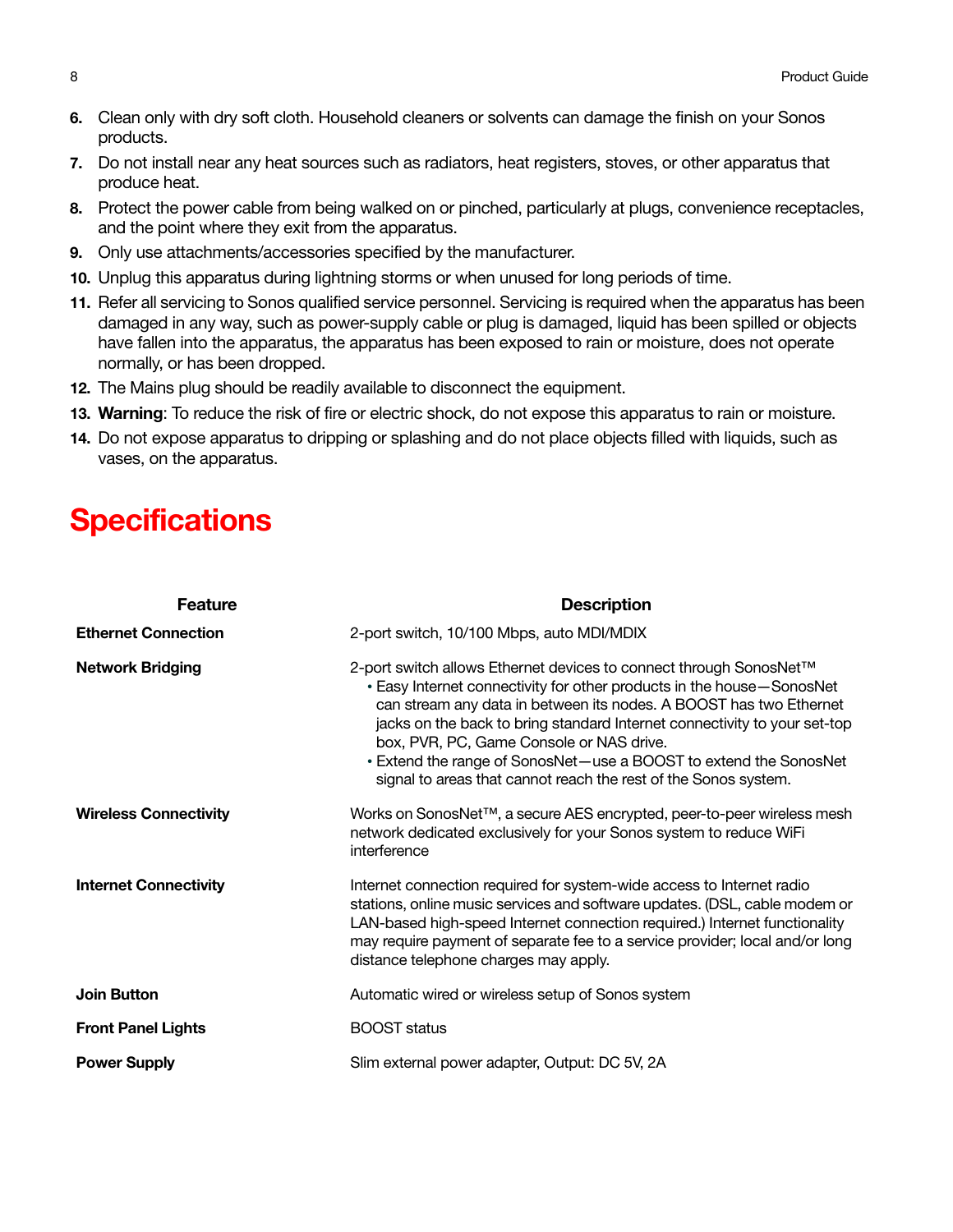- 6. Clean only with dry soft cloth. Household cleaners or solvents can damage the finish on your Sonos products.
- 7. Do not install near any heat sources such as radiators, heat registers, stoves, or other apparatus that produce heat.
- 8. Protect the power cable from being walked on or pinched, particularly at plugs, convenience receptacles, and the point where they exit from the apparatus.
- 9. Only use attachments/accessories specified by the manufacturer.
- 10. Unplug this apparatus during lightning storms or when unused for long periods of time.
- 11. Refer all servicing to Sonos qualified service personnel. Servicing is required when the apparatus has been damaged in any way, such as power-supply cable or plug is damaged, liquid has been spilled or objects have fallen into the apparatus, the apparatus has been exposed to rain or moisture, does not operate normally, or has been dropped.
- 12. The Mains plug should be readily available to disconnect the equipment.
- 13. Warning: To reduce the risk of fire or electric shock, do not expose this apparatus to rain or moisture.
- 14. Do not expose apparatus to dripping or splashing and do not place objects filled with liquids, such as vases, on the apparatus.

## **Specifications**

| <b>Feature</b>               | <b>Description</b>                                                                                                                                                                                                                                                                                                                                                                                                                                                                 |
|------------------------------|------------------------------------------------------------------------------------------------------------------------------------------------------------------------------------------------------------------------------------------------------------------------------------------------------------------------------------------------------------------------------------------------------------------------------------------------------------------------------------|
| <b>Ethernet Connection</b>   | 2-port switch, 10/100 Mbps, auto MDI/MDIX                                                                                                                                                                                                                                                                                                                                                                                                                                          |
| <b>Network Bridging</b>      | 2-port switch allows Ethernet devices to connect through SonosNet™<br>• Easy Internet connectivity for other products in the house-SonosNet<br>can stream any data in between its nodes. A BOOST has two Ethernet<br>jacks on the back to bring standard Internet connectivity to your set-top<br>box, PVR, PC, Game Console or NAS drive.<br>• Extend the range of SonosNet-use a BOOST to extend the SonosNet<br>signal to areas that cannot reach the rest of the Sonos system. |
| <b>Wireless Connectivity</b> | Works on SonosNet™, a secure AES encrypted, peer-to-peer wireless mesh<br>network dedicated exclusively for your Sonos system to reduce WiFi<br>interference                                                                                                                                                                                                                                                                                                                       |
| <b>Internet Connectivity</b> | Internet connection required for system-wide access to Internet radio<br>stations, online music services and software updates. (DSL, cable modem or<br>LAN-based high-speed Internet connection required.) Internet functionality<br>may require payment of separate fee to a service provider; local and/or long<br>distance telephone charges may apply.                                                                                                                         |
| <b>Join Button</b>           | Automatic wired or wireless setup of Sonos system                                                                                                                                                                                                                                                                                                                                                                                                                                  |
| <b>Front Panel Lights</b>    | <b>BOOST</b> status                                                                                                                                                                                                                                                                                                                                                                                                                                                                |
| <b>Power Supply</b>          | Slim external power adapter, Output: DC 5V, 2A                                                                                                                                                                                                                                                                                                                                                                                                                                     |